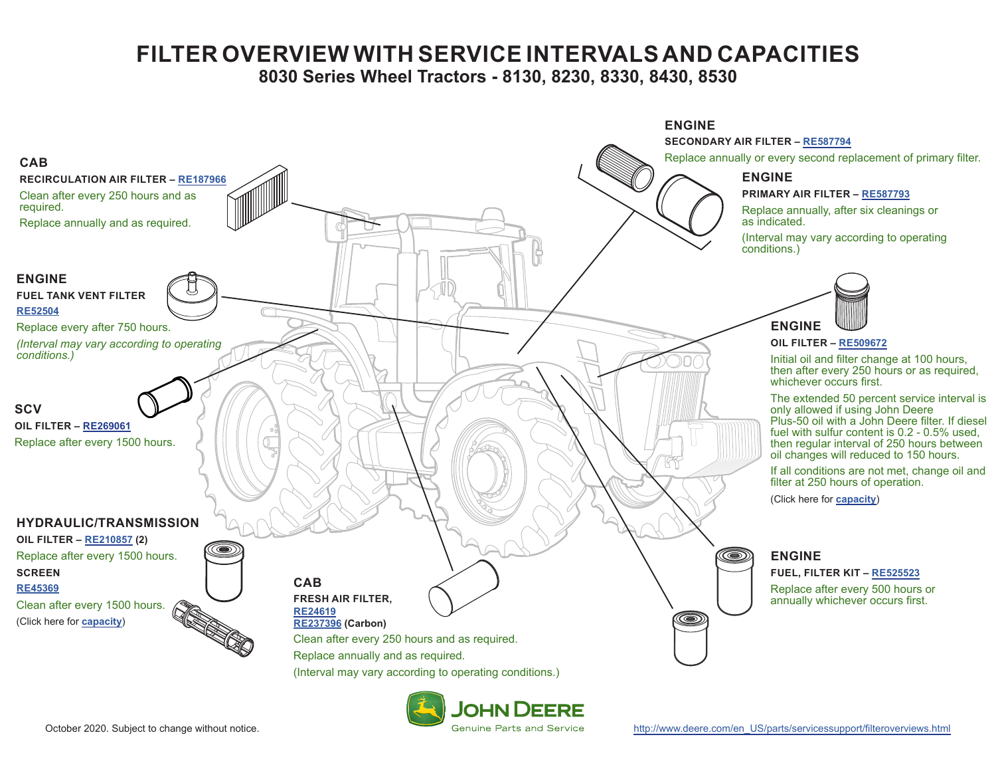## **FILTER OVERVIEW WITH SERVICE INTERVALS AND CAPACITIES**

**8030 Series Wheel Tractors - 8130, 8230, 8330, 8430, 8530**

<span id="page-0-0"></span>